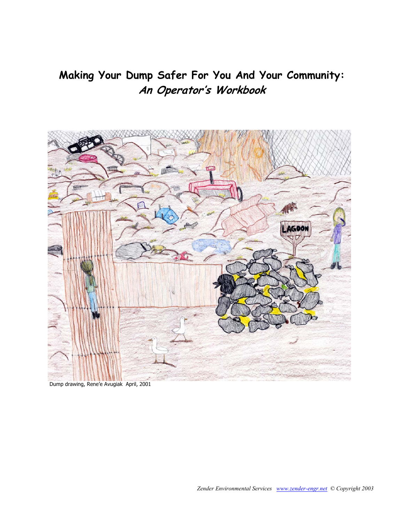## **Making Your Dump Safer For You And Your Community: An Operator's Workbook**



Dump drawing, Rene'e Avugiak April, 2001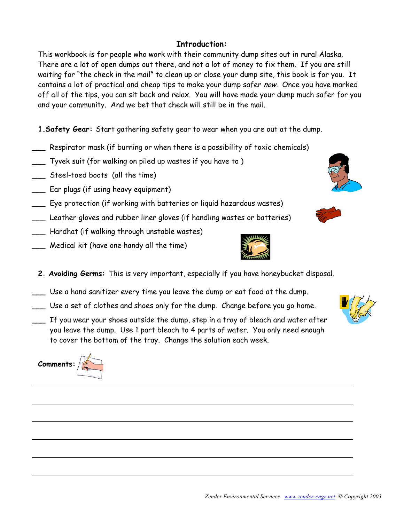## **Introduction:**

This workbook is for people who work with their community dump sites out in rural Alaska. There are a lot of open dumps out there, and not a lot of money to fix them. If you are still waiting for "the check in the mail" to clean up or close your dump site, this book is for you. It contains a lot of practical and cheap tips to make your dump safer now. Once you have marked off all of the tips, you can sit back and relax. You will have made your dump much safer for you and your community. And we bet that check will still be in the mail.

**1.Safety Gear:** Start gathering safety gear to wear when you are out at the dump.

- \_\_\_ Respirator mask (if burning or when there is a possibility of toxic chemicals)
- \_\_\_ Tyvek suit (for walking on piled up wastes if you have to )
- \_\_\_ Steel-toed boots (all the time)
- \_\_\_ Ear plugs (if using heavy equipment)
- \_\_\_ Eye protection (if working with batteries or liquid hazardous wastes)
- \_\_\_ Leather gloves and rubber liner gloves (if handling wastes or batteries)
- \_\_\_ Hardhat (if walking through unstable wastes)
- \_\_\_ Medical kit (have one handy all the time)
	- **2. Avoiding Germs:** This is very important, especially if you have honeybucket disposal.
- \_\_\_ Use a hand sanitizer every time you leave the dump or eat food at the dump.
- \_\_\_ Use a set of clothes and shoes only for the dump. Change before you go home.
- If you wear your shoes outside the dump, step in a tray of bleach and water after you leave the dump. Use 1 part bleach to 4 parts of water. You only need enough to cover the bottom of the tray. Change the solution each week.







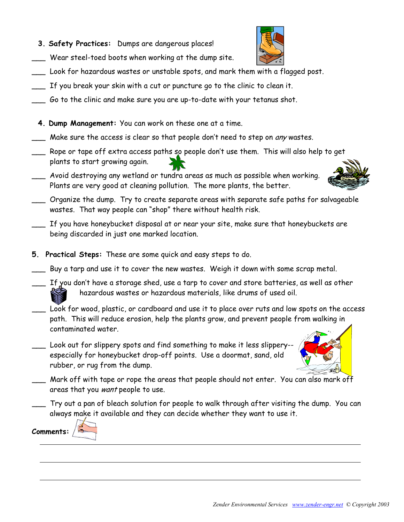*Zender Environmental Services www.zender-engr.net © Copyright 2003* 

- **3. Safety Practices:** Dumps are dangerous places!
- Wear steel-toed boots when working at the dump site.
- \_\_\_ Look for hazardous wastes or unstable spots, and mark them with a flagged post.
- \_\_\_ If you break your skin with a cut or puncture go to the clinic to clean it.
- Go to the clinic and make sure you are up-to-date with your tetanus shot.
- **4. Dump Management:** You can work on these one at a time.
- \_\_\_ Make sure the access is clear so that people don't need to step on any wastes.
- \_\_\_ Rope or tape off extra access paths so people don't use them. This will also help to get plants to start growing again.
- Avoid destroying any wetland or tundra areas as much as possible when working. Plants are very good at cleaning pollution. The more plants, the better.
- \_\_\_ Organize the dump. Try to create separate areas with separate safe paths for salvageable wastes. That way people can "shop" there without health risk.
- If you have honeybucket disposal at or near your site, make sure that honeybuckets are being discarded in just one marked location.
- **5. Practical Steps:** These are some quick and easy steps to do.
- \_\_\_ Buy a tarp and use it to cover the new wastes. Weigh it down with some scrap metal.
- If you don't have a storage shed, use a tarp to cover and store batteries, as well as other hazardous wastes or hazardous materials, like drums of used oil.
- Look for wood, plastic, or cardboard and use it to place over ruts and low spots on the access path. This will reduce erosion, help the plants grow, and prevent people from walking in contaminated water.
- Look out for slippery spots and find something to make it less slippery-especially for honeybucket drop-off points. Use a doormat, sand, old rubber, or rug from the dump.
- \_\_\_ Mark off with tape or rope the areas that people should not enter. You can also mark off areas that you want people to use.
- Try out a pan of bleach solution for people to walk through after visiting the dump. You can always make it available and they can decide whether they want to use it.







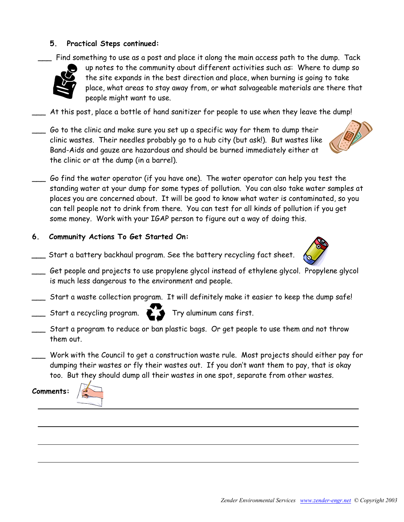## **5. Practical Steps continued:**

Find something to use as a post and place it along the main access path to the dump. Tack



up notes to the community about different activities such as: Where to dump so the site expands in the best direction and place, when burning is going to take place, what areas to stay away from, or what salvageable materials are there that people might want to use.

- At this post, place a bottle of hand sanitizer for people to use when they leave the dump!
- Go to the clinic and make sure you set up a specific way for them to dump their clinic wastes. Their needles probably go to a hub city (but ask!). But wastes like Band-Aids and gauze are hazardous and should be burned immediately either at the clinic or at the dump (in a barrel).



- Go find the water operator (if you have one). The water operator can help you test the standing water at your dump for some types of pollution. You can also take water samples at places you are concerned about. It will be good to know what water is contaminated, so you can tell people not to drink from there. You can test for all kinds of pollution if you get some money. Work with your IGAP person to figure out a way of doing this.
- **6. Community Actions To Get Started On:**
- **\_\_\_** Start a battery backhaul program. See the battery recycling fact sheet.
- \_\_\_ Get people and projects to use propylene glycol instead of ethylene glycol. Propylene glycol is much less dangerous to the environment and people.
- \_\_\_ Start a waste collection program. It will definitely make it easier to keep the dump safe!
- $\sum$  Start a recycling program.  $\sum$   $\sum$  Try aluminum cans first.
- \_\_\_ Start a program to reduce or ban plastic bags. Or get people to use them and not throw them out.
- Work with the Council to get a construction waste rule. Most projects should either pay for dumping their wastes or fly their wastes out. If you don't want them to pay, that is okay too. But they should dump all their wastes in one spot, separate from other wastes.

**Comments:** 



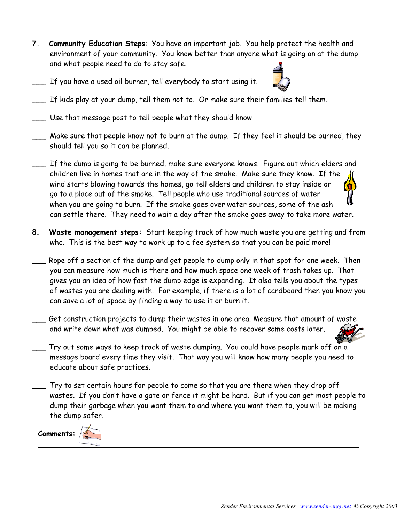- **7. Community Education Steps**: You have an important job. You help protect the health and environment of your community. You know better than anyone what is going on at the dump and what people need to do to stay safe.
- \_\_\_ If you have a used oil burner, tell everybody to start using it.



- $\_$  If kids play at your dump, tell them not to.  $\emph{Or}$  make sure their families tell them.
- Use that message post to tell people what they should know.
- Make sure that people know not to burn at the dump. If they feel it should be burned, they should tell you so it can be planned.
- If the dump is going to be burned, make sure everyone knows. Figure out which elders and children live in homes that are in the way of the smoke. Make sure they know. If the wind starts blowing towards the homes, go tell elders and children to stay inside or go to a place out of the smoke. Tell people who use traditional sources of water when you are going to burn. If the smoke goes over water sources, some of the ash can settle there. They need to wait a day after the smoke goes away to take more water.
- **8. Waste management steps:** Start keeping track of how much waste you are getting and from who. This is the best way to work up to a fee system so that you can be paid more!
- Rope off a section of the dump and get people to dump only in that spot for one week. Then you can measure how much is there and how much space one week of trash takes up. That gives you an idea of how fast the dump edge is expanding. It also tells you about the types of wastes you are dealing with. For example, if there is a lot of cardboard then you know you can save a lot of space by finding a way to use it or burn it.
- Get construction projects to dump their wastes in one area. Measure that amount of waste and write down what was dumped. You might be able to recover some costs later.
- Try out some ways to keep track of waste dumping. You could have people mark off on a message board every time they visit. That way you will know how many people you need to educate about safe practices.
- \_\_\_ Try to set certain hours for people to come so that you are there when they drop off wastes. If you don't have a gate or fence it might be hard. But if you can get most people to dump their garbage when you want them to and where you want them to, you will be making the dump safer.

**Comments:**